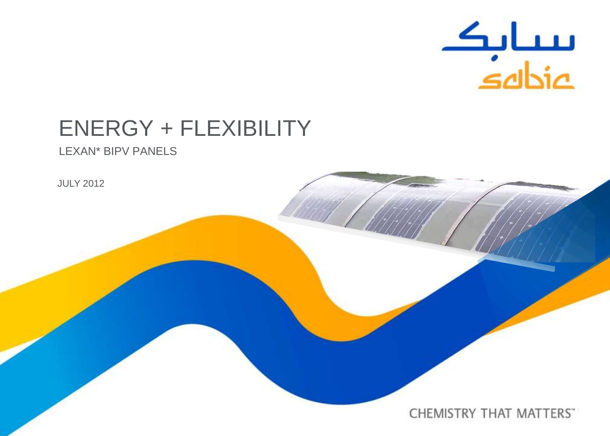

# ENERGY + FLEXIBILITY

LEXAN\* BIPV PANELS

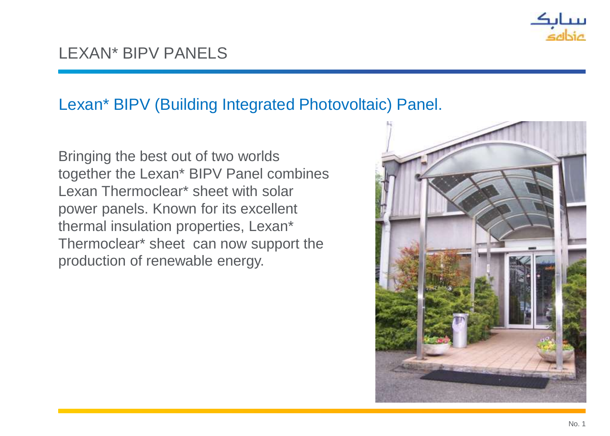

### LEXAN\* BIPV PANELS

#### Lexan\* BIPV (Building Integrated Photovoltaic) Panel.

Bringing the best out of two worlds together the Lexan\* BIPV Panel combines Lexan Thermoclear\* sheet with solar power panels. Known for its excellent thermal insulation properties, Lexan\* Thermoclear\* sheet can now support the production of renewable energy.

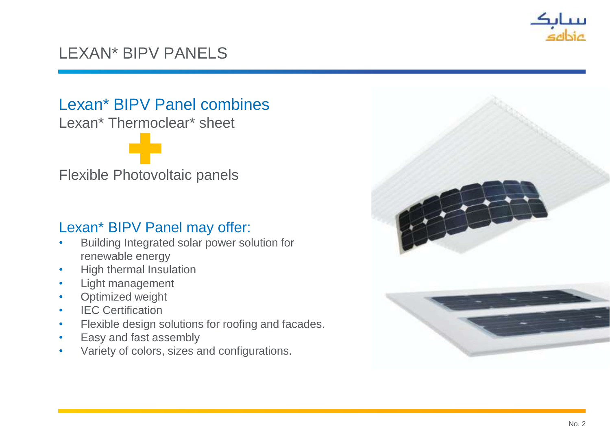

### LEXAN\* BIPV PANELS

Lexan\* BIPV Panel combines

Lexan\* Thermoclear\* sheet

Flexible Photovoltaic panels

#### Lexan\* BIPV Panel may offer:

- Building Integrated solar power solution for renewable energy
- High thermal Insulation
- Light management
- Optimized weight
- **IEC Certification**
- Flexible design solutions for roofing and facades.
- Easy and fast assembly
- Variety of colors, sizes and configurations.

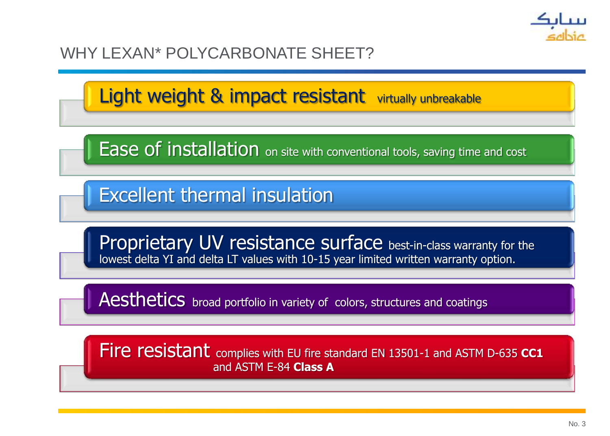

#### WHY LEXAN\* POLYCARBONATE SHEET?

Light weight & impact resistant virtually unbreakable

**Ease of installation** on site with conventional tools, saving time and cost

Excellent thermal insulation

Proprietary UV resistance surface best-in-class warranty for the lowest delta YI and delta LT values with 10-15 year limited written warranty option.

Aesthetics broad portfolio in variety of colors, structures and coatings

Fire resistant complies with EU fire standard EN 13501-1 and ASTM D-635 **CC1** and ASTM E-84 **Class A**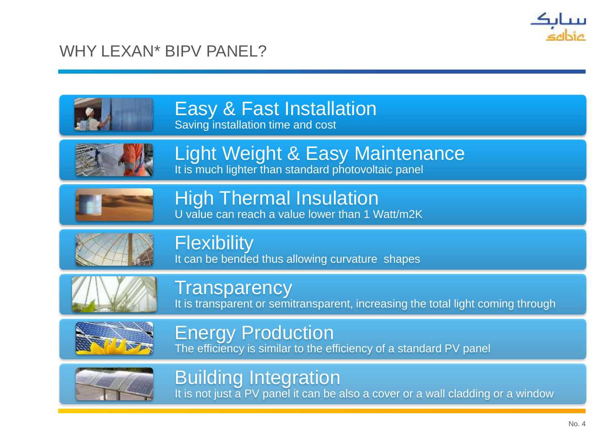

#### WHY LEXAN\* BIPV PANEL?





# Building Integration

It is not just a PV panel it can be also a cover or a wall cladding or a window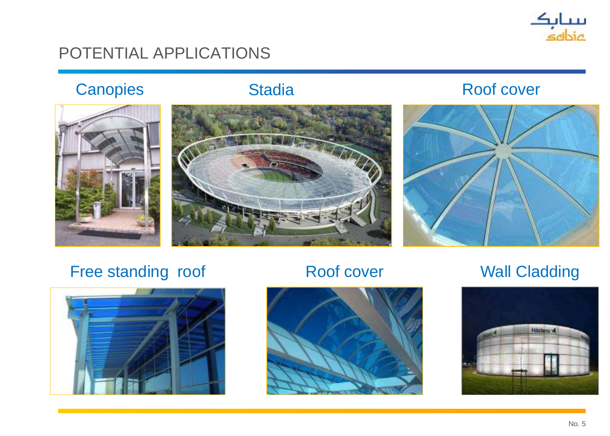

#### POTENTIAL APPLICATIONS





#### Canopies Stadia Roof cover



### Free standing roof **Roof cover** Wall Cladding





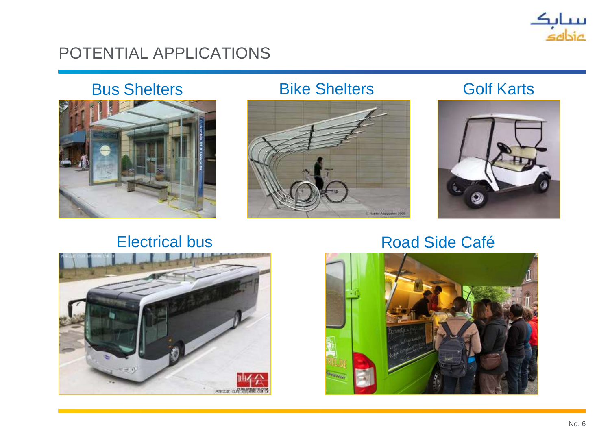

#### POTENTIAL APPLICATIONS



#### Bus Shelters Bike Shelters Golf Karts







#### Electrical bus Road Side Café

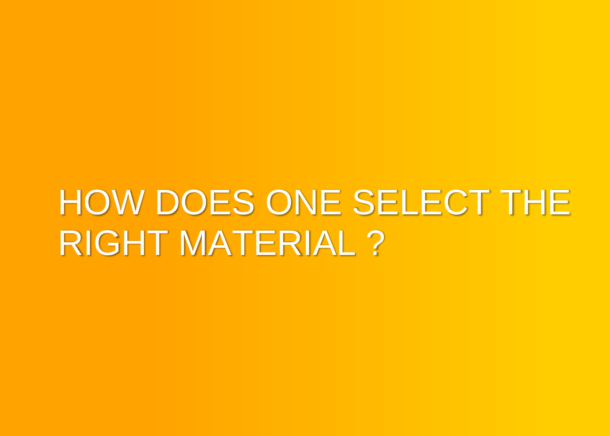# HOW DOES ONE SELECT THE RIGHT MATERIAL ?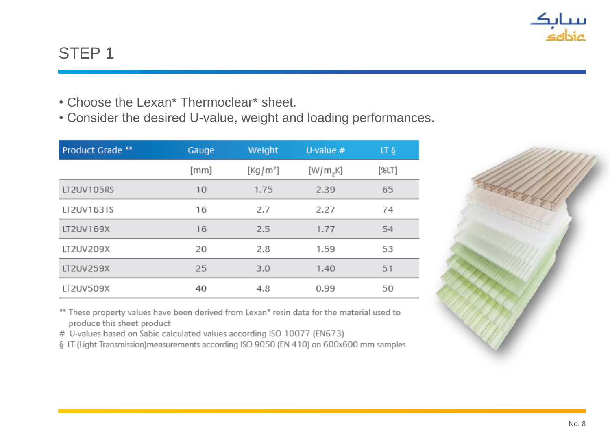

### STEP 1

- Choose the Lexan\* Thermoclear\* sheet.
- Consider the desired U-value, weight and loading performances.

| Product Grade ** | Gauge | Weight               | U-value $#$ | LT <sub>§</sub> |
|------------------|-------|----------------------|-------------|-----------------|
|                  | [mm]  | [Kg/m <sup>2</sup> ] | [W/m,K]     | [%LT]           |
| LT2UV105RS       | 10    | 1.75                 | 2.39        | 65              |
| LT2UV163TS       | 16    | 2.7                  | 2.27        | 74              |
| LT2UV169X        | 16    | 2.5                  | 1.77        | 54              |
| LT2UV209X        | 20    | 2.8                  | 1.59        | 53              |
| LT2UV259X        | 25    | 3.0                  | 1.40        | 51              |
| LT2UV509X        | 40    | 4.8                  | 0.99        | 50              |

\*\* These property values have been derived from Lexan\* resin data for the material used to produce this sheet product

# U-values based on Sabic calculated values according ISO 10077 (EN673)

§ LT (Light Transmission) measurements according ISO 9050 (EN 410) on 600x600 mm samples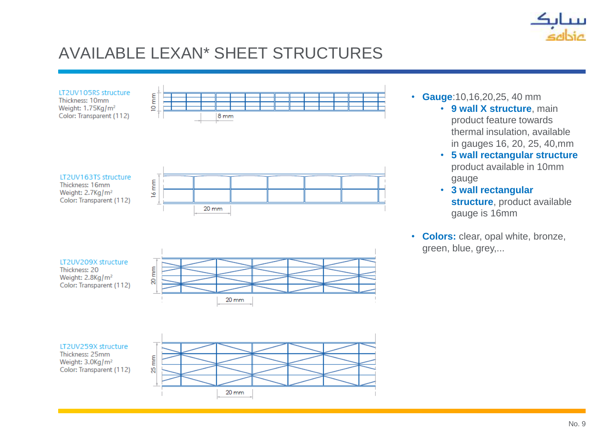

# AVAILABLE LEXAN\* SHEET STRUCTURES



- **Gauge**:10,16,20,25, 40 mm
	- **9 wall X structure**, main product feature towards thermal insulation, available in gauges 16, 20, 25, 40,mm
	- **5 wall rectangular structure**  product available in 10mm gauge
	- **3 wall rectangular structure**, product available gauge is 16mm
- **Colors:** clear, opal white, bronze, green, blue, grey,...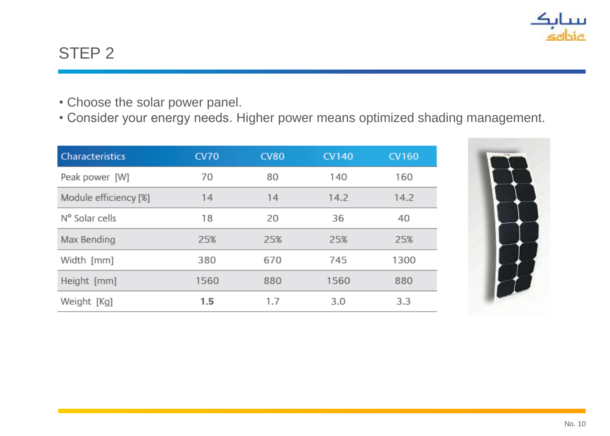

### STEP 2

- Choose the solar power panel.
- Consider your energy needs. Higher power means optimized shading management.

| <b>Characteristics</b> | <b>CV70</b> | <b>CV80</b> | <b>CV140</b> | <b>CV160</b> |
|------------------------|-------------|-------------|--------------|--------------|
| Peak power [W]         | 70          | 80          | 140          | 160          |
| Module efficiency [%]  | 14          | 14          | 14.2         | 14.2         |
| N° Solar cells         | 18          | 20          | 36           | 40           |
| Max Bending            | 25%         | 25%         | 25%          | 25%          |
| Width [mm]             | 380         | 670         | 745          | 1300         |
| Height [mm]            | 1560        | 880         | 1560         | 880          |
| Weight [Kg]            | 1.5         | 1.7         | 3.0          | 3.3          |

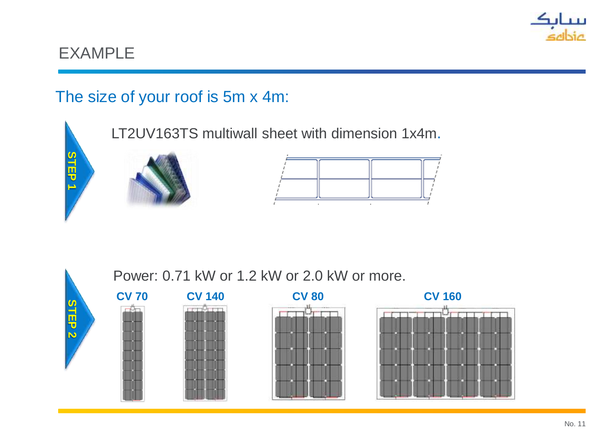

### The size of your roof is 5m x 4m:



Power: 0.71 kW or 1.2 kW or 2.0 kW or more.







Сh

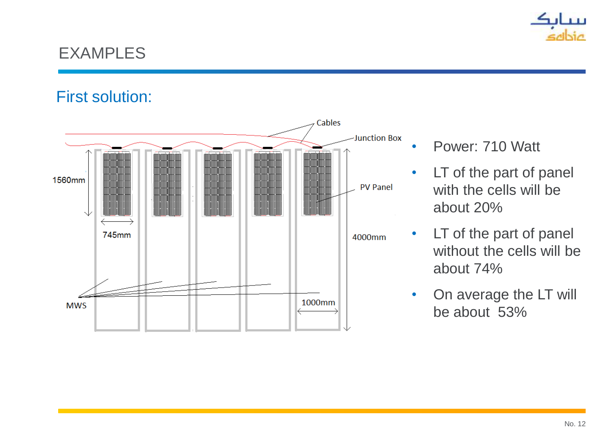

#### First solution:



- Power: 710 Watt
- LT of the part of panel with the cells will be about 20%
- LT of the part of panel without the cells will be about 74%
- On average the LT will be about 53%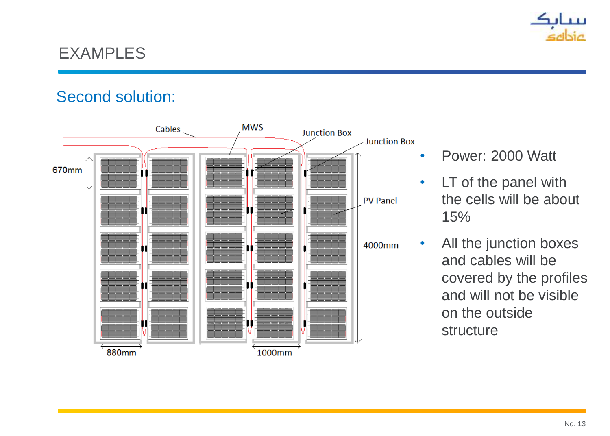

#### Second solution:



- Power: 2000 Watt
- LT of the panel with the cells will be about 15%
- All the junction boxes and cables will be covered by the profiles and will not be visible on the outside structure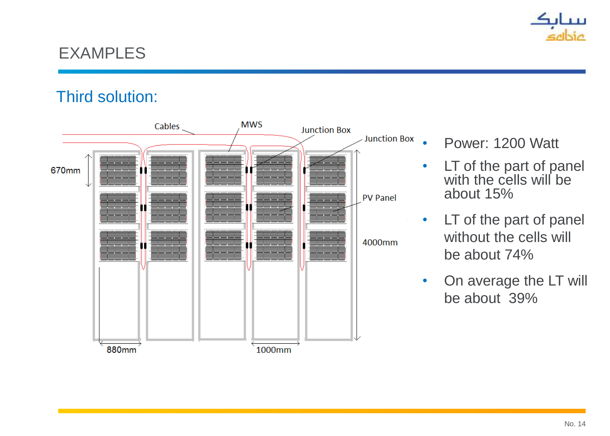

#### Third solution:



- Power: 1200 Watt
- LT of the part of panel with the cells will be about 15%
- LT of the part of panel without the cells will be about 74%
- On average the LT will be about 39%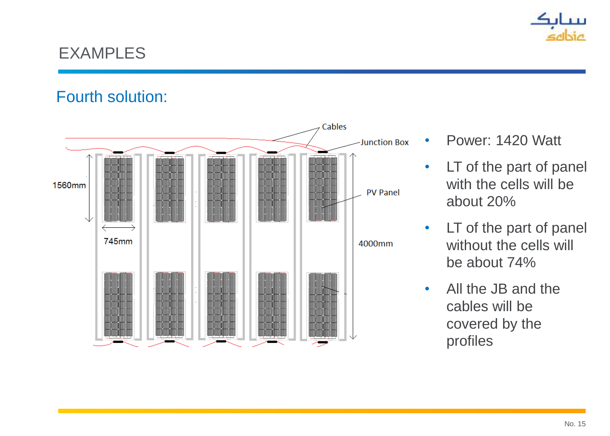

#### Fourth solution:



- Power: 1420 Watt
- LT of the part of panel with the cells will be about 20%
- LT of the part of panel without the cells will be about 74%
- All the JB and the cables will be covered by the profiles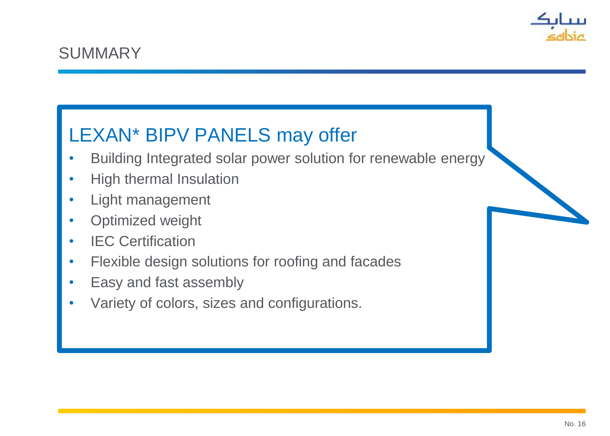

# LEXAN\* BIPV PANELS may offer

- Building Integrated solar power solution for renewable energy
- High thermal Insulation
- Light management
- Optimized weight
- IEC Certification
- Flexible design solutions for roofing and facades
- Easy and fast assembly
- Variety of colors, sizes and configurations.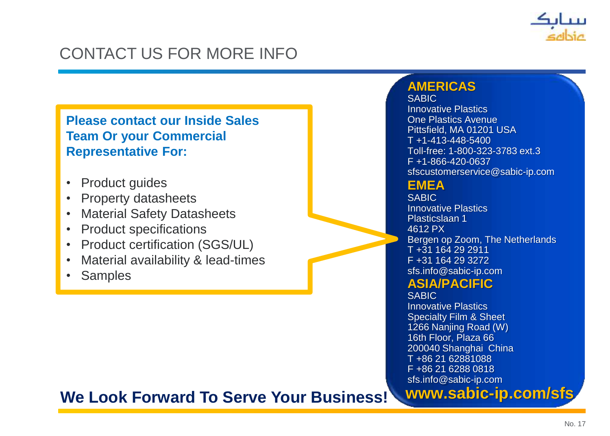

# CONTACT US FOR MORE INFO

**Please contact our Inside Sales Team Or your Commercial Representative For:**

- Product guides
- Property datasheets
- Material Safety Datasheets
- Product specifications
- Product certification (SGS/UL)
- Material availability & lead-times
- Samples

#### **AMERICAS**

SABIC Innovative Plastics One Plastics Avenue Pittsfield, MA 01201 USA  $T + 1 - 413 - 448 - 5400$ Toll-free: 1-800-323-3783 ext.3 F +1-866-420-0637 sfscustomerservice@sabic-ip.com

#### **EMEA**

**SABIC** Innovative Plastics Plasticslaan 1 4612 PX Bergen op Zoom, The Netherlands T +31 164 29 2911 F +31 164 29 3272 sfs.info@sabic-ip.com

#### **ASIA/PACIFIC**

**SABIC** 

Innovative Plastics Specialty Film & Sheet 1266 Nanjing Road (W) 16th Floor, Plaza 66 200040 Shanghai China T +86 21 62881088 F +86 21 6288 0818 sfs.info@sabic-ip.com

**www.sabic-ip.com/sfs**

#### **We Look Forward To Serve Your Business!**